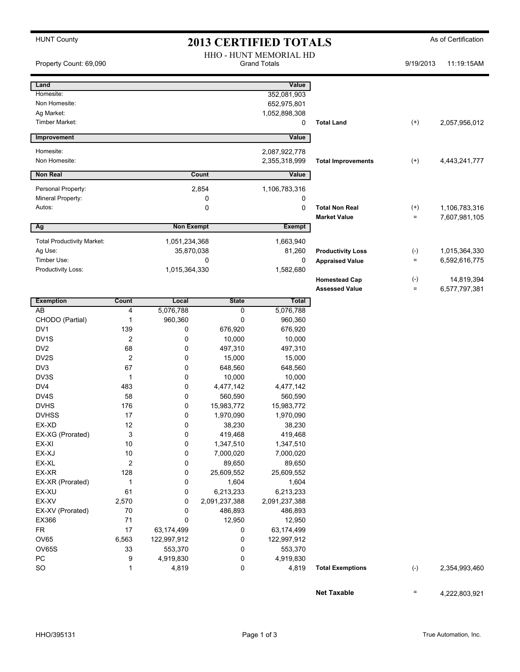## HUNT County **As of Certification 2013 CERTIFIED TOTALS** As of Certification

|                                   |                |                   |               | HHO - HUNT MEMORIAL HD |                           |                            |               |
|-----------------------------------|----------------|-------------------|---------------|------------------------|---------------------------|----------------------------|---------------|
| Property Count: 69,090            |                |                   |               | <b>Grand Totals</b>    |                           | 9/19/2013                  | 11:19:15AM    |
| Land                              |                |                   |               | Value                  |                           |                            |               |
| Homesite:                         |                |                   |               | 352,081,903            |                           |                            |               |
| Non Homesite:                     |                |                   |               | 652,975,801            |                           |                            |               |
| Ag Market:                        |                |                   |               | 1,052,898,308          |                           |                            |               |
| Timber Market:                    |                |                   |               | 0                      | <b>Total Land</b>         | $^{(+)}$                   | 2,057,956,012 |
| Improvement                       |                |                   |               | Value                  |                           |                            |               |
| Homesite:                         |                |                   |               | 2,087,922,778          |                           |                            |               |
| Non Homesite:                     |                |                   |               | 2,355,318,999          | <b>Total Improvements</b> | $^{(+)}$                   | 4,443,241,777 |
| <b>Non Real</b>                   |                |                   | Count         | Value                  |                           |                            |               |
| Personal Property:                |                |                   | 2,854         | 1,106,783,316          |                           |                            |               |
| Mineral Property:                 |                |                   | 0             | 0                      |                           |                            |               |
| Autos:                            |                |                   | 0             | 0                      | <b>Total Non Real</b>     | $^{(+)}$                   | 1,106,783,316 |
|                                   |                |                   |               |                        | <b>Market Value</b>       | $\equiv$                   | 7,607,981,105 |
| Ag                                |                | <b>Non Exempt</b> |               | Exempt                 |                           |                            |               |
| <b>Total Productivity Market:</b> |                | 1,051,234,368     |               | 1,663,940              |                           |                            |               |
| Ag Use:                           |                | 35,870,038        |               | 81,260                 | <b>Productivity Loss</b>  | $(-)$                      | 1,015,364,330 |
| Timber Use:                       |                |                   | 0             | 0                      | <b>Appraised Value</b>    | $\equiv$                   | 6,592,616,775 |
| Productivity Loss:                |                | 1,015,364,330     |               | 1,582,680              |                           |                            |               |
|                                   |                |                   |               |                        | <b>Homestead Cap</b>      | $(\text{-})$               | 14,819,394    |
|                                   |                |                   |               |                        | <b>Assessed Value</b>     | $\quad \  \, =\quad \  \,$ | 6,577,797,381 |
| <b>Exemption</b>                  | Count          | Local             | <b>State</b>  | Total                  |                           |                            |               |
| AB                                | 4              | 5,076,788         | 0             | 5,076,788              |                           |                            |               |
| CHODO (Partial)                   | 1              | 960,360           | 0             | 960,360                |                           |                            |               |
| DV1                               | 139            | 0                 | 676,920       | 676,920                |                           |                            |               |
| DV <sub>1</sub> S                 | $\overline{2}$ | 0                 | 10,000        | 10,000                 |                           |                            |               |
| DV <sub>2</sub>                   | 68             | 0                 | 497,310       | 497,310                |                           |                            |               |
| DV2S                              | $\overline{2}$ | 0                 | 15,000        | 15,000                 |                           |                            |               |
| DV3                               | 67             | 0                 | 648,560       | 648,560                |                           |                            |               |
| DV3S                              | 1              | 0                 | 10,000        | 10,000                 |                           |                            |               |
| DV4                               | 483            | 0                 | 4,477,142     | 4,477,142              |                           |                            |               |
| DV4S                              | 58             | 0                 | 560,590       | 560,590                |                           |                            |               |
| <b>DVHS</b>                       | 176            | 0                 | 15,983,772    | 15,983,772             |                           |                            |               |
| <b>DVHSS</b>                      | 17             | 0                 | 1,970,090     | 1,970,090              |                           |                            |               |
| EX-XD                             | 12             | 0                 | 38,230        | 38,230                 |                           |                            |               |
| EX-XG (Prorated)                  | 3              | 0                 | 419,468       | 419,468                |                           |                            |               |
| EX-XI                             | 10             | 0                 | 1,347,510     | 1,347,510              |                           |                            |               |
| EX-XJ                             | 10             | 0                 | 7,000,020     | 7,000,020              |                           |                            |               |
| EX-XL                             | 2              | 0                 | 89,650        | 89,650                 |                           |                            |               |
| EX-XR                             | 128            | 0                 | 25,609,552    | 25,609,552             |                           |                            |               |
| EX-XR (Prorated)                  | $\mathbf{1}$   | 0                 | 1,604         | 1,604                  |                           |                            |               |
| EX-XU                             | 61             | 0                 | 6,213,233     | 6,213,233              |                           |                            |               |
| EX-XV                             | 2,570          | 0                 | 2,091,237,388 | 2,091,237,388          |                           |                            |               |
| EX-XV (Prorated)                  | 70             | 0                 | 486,893       | 486,893                |                           |                            |               |
| EX366                             | 71             | 0                 | 12,950        | 12,950                 |                           |                            |               |
| FR                                | 17             | 63,174,499        | 0             | 63,174,499             |                           |                            |               |
| OV65                              | 6,563          | 122,997,912       | 0             | 122,997,912            |                           |                            |               |
| OV65S                             | 33             | 553,370           | 0             | 553,370                |                           |                            |               |
| ${\sf PC}$                        | 9              | 4,919,830         | 0             | 4,919,830              |                           |                            |               |
| SO                                | 1              | 4,819             | 0             | 4,819                  | <b>Total Exemptions</b>   | $(\text{-})$               | 2,354,993,460 |
|                                   |                |                   |               |                        |                           |                            |               |
|                                   |                |                   |               |                        | <b>Net Taxable</b>        | $\equiv$                   | 4,222,803,921 |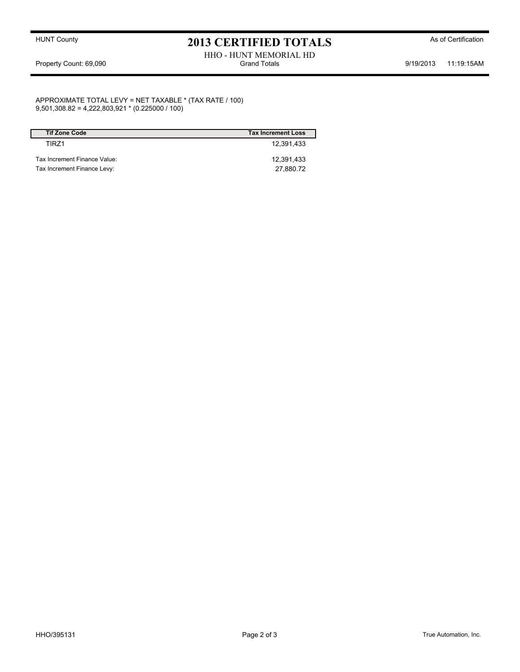### HUNT County **As of Certification 2013 CERTIFIED TOTALS** As of Certification

#### HHO - HUNT MEMORIAL HD Property Count: 69,090 **Stand Totals** Grand Totals 9/19/2013 11:19:15AM

APPROXIMATE TOTAL LEVY = NET TAXABLE \* (TAX RATE / 100) 9,501,308.82 = 4,222,803,921 \* (0.225000 / 100)

| <b>Tif Zone Code</b>         | <b>Tax Increment Loss</b> |
|------------------------------|---------------------------|
| TIR71                        | 12.391.433                |
| Tax Increment Finance Value: | 12.391.433                |
| Tax Increment Finance Levy:  | 27,880.72                 |